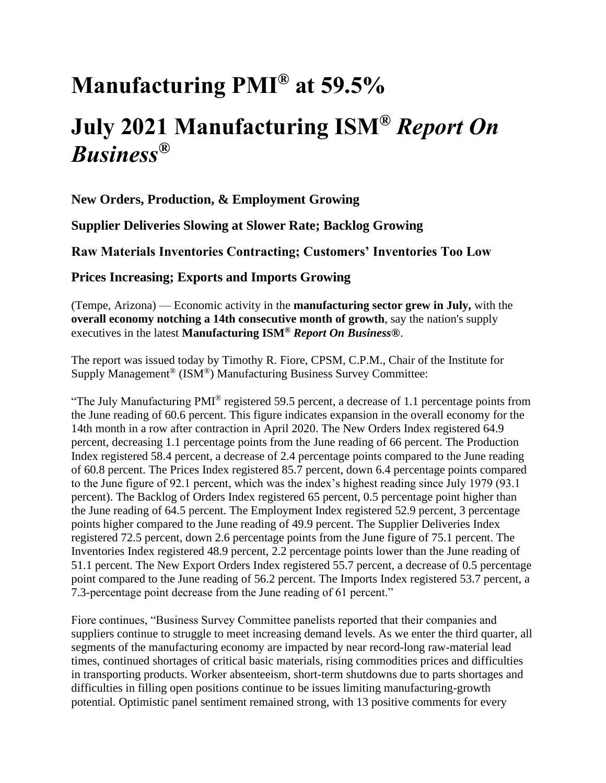### **Manufacturing PMI® at 59.5%**

### **July 2021 Manufacturing ISM®** *Report On Business®*

**New Orders, Production, & Employment Growing**

**Supplier Deliveries Slowing at Slower Rate; Backlog Growing**

**Raw Materials Inventories Contracting; Customers' Inventories Too Low**

### **Prices Increasing; Exports and Imports Growing**

(Tempe, Arizona) — Economic activity in the **manufacturing sector grew in July,** with the **overall economy notching a 14th consecutive month of growth**, say the nation's supply executives in the latest **Manufacturing ISM®** *Report On Business®*.

The report was issued today by Timothy R. Fiore, CPSM, C.P.M., Chair of the Institute for Supply Management® (ISM®) Manufacturing Business Survey Committee:

"The July Manufacturing PMI® registered 59.5 percent, a decrease of 1.1 percentage points from the June reading of 60.6 percent. This figure indicates expansion in the overall economy for the 14th month in a row after contraction in April 2020. The New Orders Index registered 64.9 percent, decreasing 1.1 percentage points from the June reading of 66 percent. The Production Index registered 58.4 percent, a decrease of 2.4 percentage points compared to the June reading of 60.8 percent. The Prices Index registered 85.7 percent, down 6.4 percentage points compared to the June figure of 92.1 percent, which was the index's highest reading since July 1979 (93.1 percent). The Backlog of Orders Index registered 65 percent, 0.5 percentage point higher than the June reading of 64.5 percent. The Employment Index registered 52.9 percent, 3 percentage points higher compared to the June reading of 49.9 percent. The Supplier Deliveries Index registered 72.5 percent, down 2.6 percentage points from the June figure of 75.1 percent. The Inventories Index registered 48.9 percent, 2.2 percentage points lower than the June reading of 51.1 percent. The New Export Orders Index registered 55.7 percent, a decrease of 0.5 percentage point compared to the June reading of 56.2 percent. The Imports Index registered 53.7 percent, a 7.3-percentage point decrease from the June reading of 61 percent."

Fiore continues, "Business Survey Committee panelists reported that their companies and suppliers continue to struggle to meet increasing demand levels. As we enter the third quarter, all segments of the manufacturing economy are impacted by near record-long raw-material lead times, continued shortages of critical basic materials, rising commodities prices and difficulties in transporting products. Worker absenteeism, short-term shutdowns due to parts shortages and difficulties in filling open positions continue to be issues limiting manufacturing-growth potential. Optimistic panel sentiment remained strong, with 13 positive comments for every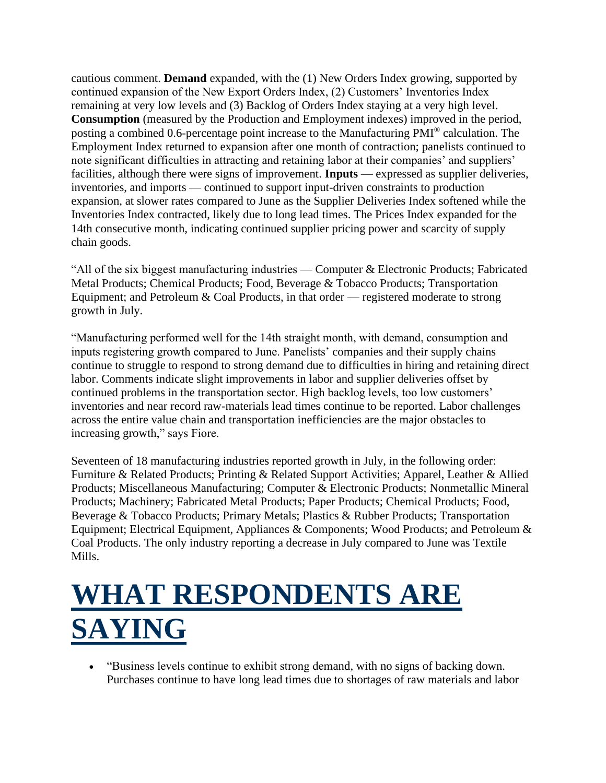cautious comment. **Demand** expanded, with the (1) New Orders Index growing, supported by continued expansion of the New Export Orders Index, (2) Customers' Inventories Index remaining at very low levels and (3) Backlog of Orders Index staying at a very high level. **Consumption** (measured by the Production and Employment indexes) improved in the period, posting a combined 0.6-percentage point increase to the Manufacturing PMI® calculation. The Employment Index returned to expansion after one month of contraction; panelists continued to note significant difficulties in attracting and retaining labor at their companies' and suppliers' facilities, although there were signs of improvement. **Inputs** — expressed as supplier deliveries, inventories, and imports — continued to support input-driven constraints to production expansion, at slower rates compared to June as the Supplier Deliveries Index softened while the Inventories Index contracted, likely due to long lead times. The Prices Index expanded for the 14th consecutive month, indicating continued supplier pricing power and scarcity of supply chain goods.

"All of the six biggest manufacturing industries — Computer  $\&$  Electronic Products; Fabricated Metal Products; Chemical Products; Food, Beverage & Tobacco Products; Transportation Equipment; and Petroleum & Coal Products, in that order — registered moderate to strong growth in July.

"Manufacturing performed well for the 14th straight month, with demand, consumption and inputs registering growth compared to June. Panelists' companies and their supply chains continue to struggle to respond to strong demand due to difficulties in hiring and retaining direct labor. Comments indicate slight improvements in labor and supplier deliveries offset by continued problems in the transportation sector. High backlog levels, too low customers' inventories and near record raw-materials lead times continue to be reported. Labor challenges across the entire value chain and transportation inefficiencies are the major obstacles to increasing growth," says Fiore.

Seventeen of 18 manufacturing industries reported growth in July, in the following order: Furniture & Related Products; Printing & Related Support Activities; Apparel, Leather & Allied Products; Miscellaneous Manufacturing; Computer & Electronic Products; Nonmetallic Mineral Products; Machinery; Fabricated Metal Products; Paper Products; Chemical Products; Food, Beverage & Tobacco Products; Primary Metals; Plastics & Rubber Products; Transportation Equipment; Electrical Equipment, Appliances & Components; Wood Products; and Petroleum & Coal Products. The only industry reporting a decrease in July compared to June was Textile Mills.

# **WHAT RESPONDENTS ARE SAYING**

• "Business levels continue to exhibit strong demand, with no signs of backing down. Purchases continue to have long lead times due to shortages of raw materials and labor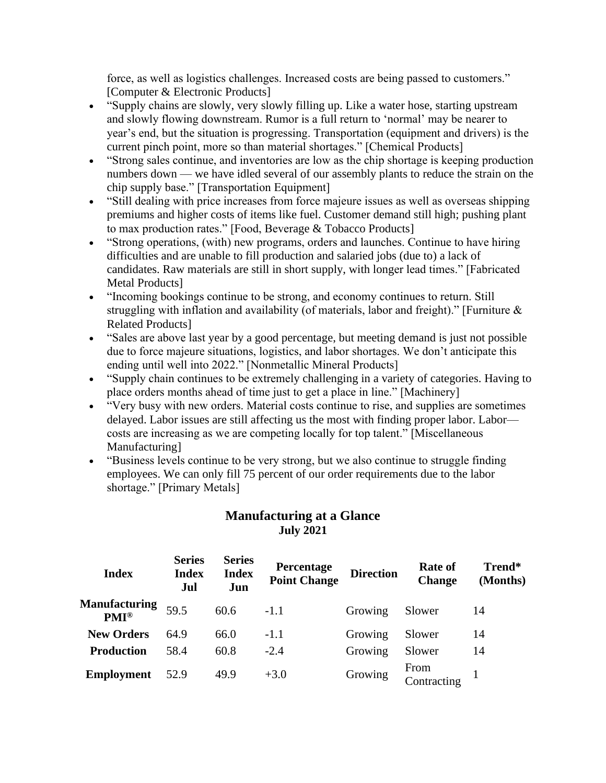force, as well as logistics challenges. Increased costs are being passed to customers." [Computer & Electronic Products]

- "Supply chains are slowly, very slowly filling up. Like a water hose, starting upstream and slowly flowing downstream. Rumor is a full return to 'normal' may be nearer to year's end, but the situation is progressing. Transportation (equipment and drivers) is the current pinch point, more so than material shortages." [Chemical Products]
- "Strong sales continue, and inventories are low as the chip shortage is keeping production numbers down — we have idled several of our assembly plants to reduce the strain on the chip supply base." [Transportation Equipment]
- "Still dealing with price increases from force majeure issues as well as overseas shipping premiums and higher costs of items like fuel. Customer demand still high; pushing plant to max production rates." [Food, Beverage & Tobacco Products]
- "Strong operations, (with) new programs, orders and launches. Continue to have hiring difficulties and are unable to fill production and salaried jobs (due to) a lack of candidates. Raw materials are still in short supply, with longer lead times." [Fabricated Metal Products]
- "Incoming bookings continue to be strong, and economy continues to return. Still struggling with inflation and availability (of materials, labor and freight)." [Furniture & Related Products]
- "Sales are above last year by a good percentage, but meeting demand is just not possible due to force majeure situations, logistics, and labor shortages. We don't anticipate this ending until well into 2022." [Nonmetallic Mineral Products]
- "Supply chain continues to be extremely challenging in a variety of categories. Having to place orders months ahead of time just to get a place in line." [Machinery]
- "Very busy with new orders. Material costs continue to rise, and supplies are sometimes delayed. Labor issues are still affecting us the most with finding proper labor. Labor costs are increasing as we are competing locally for top talent." [Miscellaneous Manufacturing]
- "Business levels continue to be very strong, but we also continue to struggle finding employees. We can only fill 75 percent of our order requirements due to the labor shortage." [Primary Metals]

| <b>Manufacturing at a Glance</b> |
|----------------------------------|
| <b>July 2021</b>                 |

| <b>Index</b>                            | <b>Series</b><br><b>Index</b><br>Jul | <b>Series</b><br><b>Index</b><br>Jun | <b>Percentage</b><br><b>Point Change</b> | <b>Direction</b> | Rate of<br><b>Change</b> | Trend*<br>(Months) |
|-----------------------------------------|--------------------------------------|--------------------------------------|------------------------------------------|------------------|--------------------------|--------------------|
| <b>Manufacturing</b><br>$PMI^{\otimes}$ | 59.5                                 | 60.6                                 | $-1.1$                                   | Growing          | Slower                   | 14                 |
| <b>New Orders</b>                       | 64.9                                 | 66.0                                 | $-1.1$                                   | Growing          | Slower                   | 14                 |
| <b>Production</b>                       | 58.4                                 | 60.8                                 | $-2.4$                                   | Growing          | Slower                   | 14                 |
| <b>Employment</b>                       | 52.9                                 | 49.9                                 | $+3.0$                                   | Growing          | From<br>Contracting      |                    |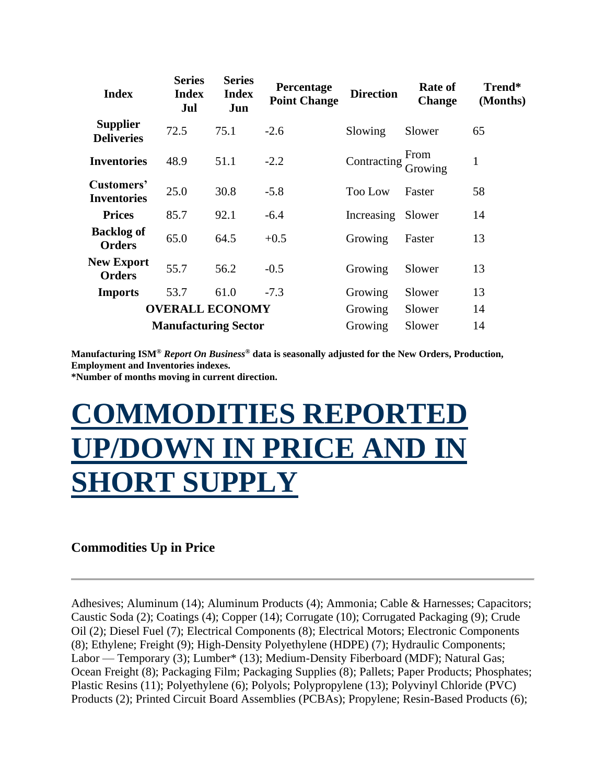| <b>Index</b>                         | <b>Series</b><br><b>Index</b><br>Jul | <b>Series</b><br><b>Index</b><br>Jun | Percentage<br><b>Point Change</b> | <b>Direction</b> | <b>Rate of</b><br><b>Change</b> | Trend*<br>(Months) |
|--------------------------------------|--------------------------------------|--------------------------------------|-----------------------------------|------------------|---------------------------------|--------------------|
| <b>Supplier</b><br><b>Deliveries</b> | 72.5                                 | 75.1                                 | $-2.6$                            | Slowing          | Slower                          | 65                 |
| <b>Inventories</b>                   | 48.9                                 | 51.1                                 | $-2.2$                            | Contracting      | From<br>Growing                 | $\mathbf{1}$       |
| Customers'<br><b>Inventories</b>     | 25.0                                 | 30.8                                 | $-5.8$                            | Too Low          | Faster                          | 58                 |
| <b>Prices</b>                        | 85.7                                 | 92.1                                 | $-6.4$                            | Increasing       | Slower                          | 14                 |
| <b>Backlog of</b><br><b>Orders</b>   | 65.0                                 | 64.5                                 | $+0.5$                            | Growing          | Faster                          | 13                 |
| <b>New Export</b><br><b>Orders</b>   | 55.7                                 | 56.2                                 | $-0.5$                            | Growing          | Slower                          | 13                 |
| <b>Imports</b>                       | 53.7                                 | 61.0                                 | $-7.3$                            | Growing          | Slower                          | 13                 |
|                                      | <b>OVERALL ECONOMY</b>               |                                      |                                   | Growing          | Slower                          | 14                 |
|                                      | <b>Manufacturing Sector</b>          |                                      |                                   | Growing          | Slower                          | 14                 |
|                                      |                                      |                                      |                                   |                  |                                 |                    |

**Manufacturing ISM®** *Report On Business®* **data is seasonally adjusted for the New Orders, Production, Employment and Inventories indexes.**

**\*Number of months moving in current direction.**

# **COMMODITIES REPORTED UP/DOWN IN PRICE AND IN SHORT SUPPLY**

**Commodities Up in Price**

Adhesives; Aluminum (14); Aluminum Products (4); Ammonia; Cable & Harnesses; Capacitors; Caustic Soda (2); Coatings (4); Copper (14); Corrugate (10); Corrugated Packaging (9); Crude Oil (2); Diesel Fuel (7); Electrical Components (8); Electrical Motors; Electronic Components (8); Ethylene; Freight (9); High-Density Polyethylene (HDPE) (7); Hydraulic Components; Labor — Temporary (3); Lumber\* (13); Medium-Density Fiberboard (MDF); Natural Gas; Ocean Freight (8); Packaging Film; Packaging Supplies (8); Pallets; Paper Products; Phosphates; Plastic Resins (11); Polyethylene (6); Polyols; Polypropylene (13); Polyvinyl Chloride (PVC) Products (2); Printed Circuit Board Assemblies (PCBAs); Propylene; Resin-Based Products (6);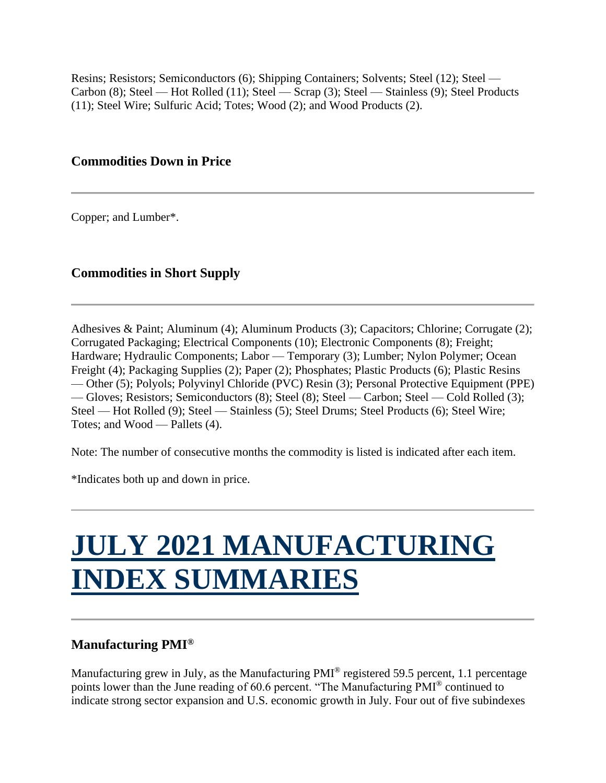Resins; Resistors; Semiconductors (6); Shipping Containers; Solvents; Steel (12); Steel — Carbon (8); Steel — Hot Rolled (11); Steel — Scrap (3); Steel — Stainless (9); Steel Products (11); Steel Wire; Sulfuric Acid; Totes; Wood (2); and Wood Products (2).

### **Commodities Down in Price**

Copper; and Lumber\*.

### **Commodities in Short Supply**

Adhesives & Paint; Aluminum (4); Aluminum Products (3); Capacitors; Chlorine; Corrugate (2); Corrugated Packaging; Electrical Components (10); Electronic Components (8); Freight; Hardware; Hydraulic Components; Labor — Temporary (3); Lumber; Nylon Polymer; Ocean Freight (4); Packaging Supplies (2); Paper (2); Phosphates; Plastic Products (6); Plastic Resins — Other (5); Polyols; Polyvinyl Chloride (PVC) Resin (3); Personal Protective Equipment (PPE) — Gloves; Resistors; Semiconductors (8); Steel (8); Steel — Carbon; Steel — Cold Rolled (3); Steel — Hot Rolled (9); Steel — Stainless (5); Steel Drums; Steel Products (6); Steel Wire; Totes; and Wood — Pallets (4).

Note: The number of consecutive months the commodity is listed is indicated after each item.

\*Indicates both up and down in price.

# **JULY 2021 MANUFACTURING INDEX SUMMARIES**

### **Manufacturing PMI®**

Manufacturing grew in July, as the Manufacturing PMI<sup>®</sup> registered 59.5 percent, 1.1 percentage points lower than the June reading of 60.6 percent. "The Manufacturing PMI® continued to indicate strong sector expansion and U.S. economic growth in July. Four out of five subindexes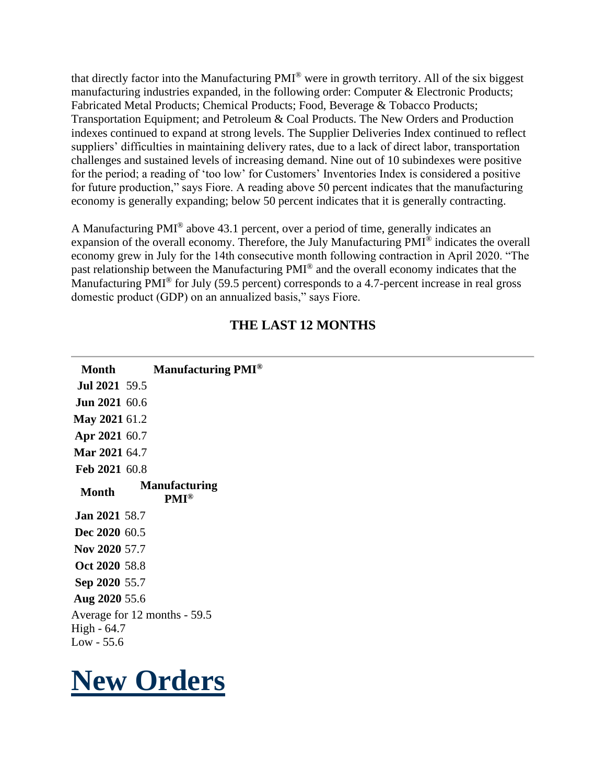that directly factor into the Manufacturing PMI® were in growth territory. All of the six biggest manufacturing industries expanded, in the following order: Computer & Electronic Products; Fabricated Metal Products; Chemical Products; Food, Beverage & Tobacco Products; Transportation Equipment; and Petroleum & Coal Products. The New Orders and Production indexes continued to expand at strong levels. The Supplier Deliveries Index continued to reflect suppliers' difficulties in maintaining delivery rates, due to a lack of direct labor, transportation challenges and sustained levels of increasing demand. Nine out of 10 subindexes were positive for the period; a reading of 'too low' for Customers' Inventories Index is considered a positive for future production," says Fiore. A reading above 50 percent indicates that the manufacturing economy is generally expanding; below 50 percent indicates that it is generally contracting.

A Manufacturing PMI® above 43.1 percent, over a period of time, generally indicates an expansion of the overall economy. Therefore, the July Manufacturing PMI® indicates the overall economy grew in July for the 14th consecutive month following contraction in April 2020. "The past relationship between the Manufacturing PMI® and the overall economy indicates that the Manufacturing  $PMI^{\circledR}$  for July (59.5 percent) corresponds to a 4.7-percent increase in real gross domestic product (GDP) on an annualized basis," says Fiore.

| Month                | <b>Manufacturing PMI<sup>®</sup></b>    |
|----------------------|-----------------------------------------|
| <b>Jul 2021</b> 59.5 |                                         |
| <b>Jun 2021 60.6</b> |                                         |
| <b>May 2021</b> 61.2 |                                         |
| Apr 2021 60.7        |                                         |
| <b>Mar 2021 64.7</b> |                                         |
| Feb 2021 60.8        |                                         |
| Month                | <b>Manufacturing</b><br>$PMI^{\otimes}$ |
| <b>Jan 2021 58.7</b> |                                         |
| Dec 2020 60.5        |                                         |
| Nov 2020 57.7        |                                         |
|                      |                                         |
| Oct 2020 58.8        |                                         |
| Sep 2020 55.7        |                                         |
| Aug 2020 55.6        |                                         |

### **THE LAST 12 MONTHS**

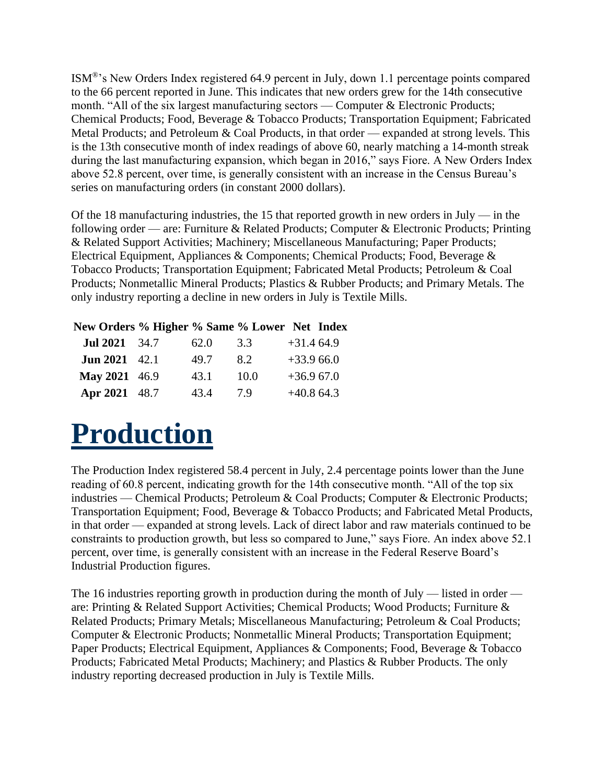ISM®'s New Orders Index registered 64.9 percent in July, down 1.1 percentage points compared to the 66 percent reported in June. This indicates that new orders grew for the 14th consecutive month. "All of the six largest manufacturing sectors — Computer & Electronic Products; Chemical Products; Food, Beverage & Tobacco Products; Transportation Equipment; Fabricated Metal Products; and Petroleum & Coal Products, in that order — expanded at strong levels. This is the 13th consecutive month of index readings of above 60, nearly matching a 14-month streak during the last manufacturing expansion, which began in 2016," says Fiore. A New Orders Index above 52.8 percent, over time, is generally consistent with an increase in the Census Bureau's series on manufacturing orders (in constant 2000 dollars).

Of the 18 manufacturing industries, the 15 that reported growth in new orders in July  $-$  in the following order — are: Furniture & Related Products; Computer & Electronic Products; Printing & Related Support Activities; Machinery; Miscellaneous Manufacturing; Paper Products; Electrical Equipment, Appliances & Components; Chemical Products; Food, Beverage & Tobacco Products; Transportation Equipment; Fabricated Metal Products; Petroleum & Coal Products; Nonmetallic Mineral Products; Plastics & Rubber Products; and Primary Metals. The only industry reporting a decline in new orders in July is Textile Mills.

### **New Orders % Higher % Same % Lower Net Index**

| <b>Jul 2021</b> 34.7   | 62.0 | 3.3  | $+31.464.9$ |
|------------------------|------|------|-------------|
| <b>Jun 2021</b> $42.1$ | 49.7 | 8.2  | $+33.966.0$ |
| May 2021 46.9          | 43.1 | 10.0 | $+36.967.0$ |
| Apr 2021 48.7          | 43.4 | 7.9  | $+40.864.3$ |

# **Production**

The Production Index registered 58.4 percent in July, 2.4 percentage points lower than the June reading of 60.8 percent, indicating growth for the 14th consecutive month. "All of the top six industries — Chemical Products; Petroleum & Coal Products; Computer & Electronic Products; Transportation Equipment; Food, Beverage & Tobacco Products; and Fabricated Metal Products, in that order — expanded at strong levels. Lack of direct labor and raw materials continued to be constraints to production growth, but less so compared to June," says Fiore. An index above 52.1 percent, over time, is generally consistent with an increase in the Federal Reserve Board's Industrial Production figures.

The 16 industries reporting growth in production during the month of July — listed in order are: Printing & Related Support Activities; Chemical Products; Wood Products; Furniture & Related Products; Primary Metals; Miscellaneous Manufacturing; Petroleum & Coal Products; Computer & Electronic Products; Nonmetallic Mineral Products; Transportation Equipment; Paper Products; Electrical Equipment, Appliances & Components; Food, Beverage & Tobacco Products; Fabricated Metal Products; Machinery; and Plastics & Rubber Products. The only industry reporting decreased production in July is Textile Mills.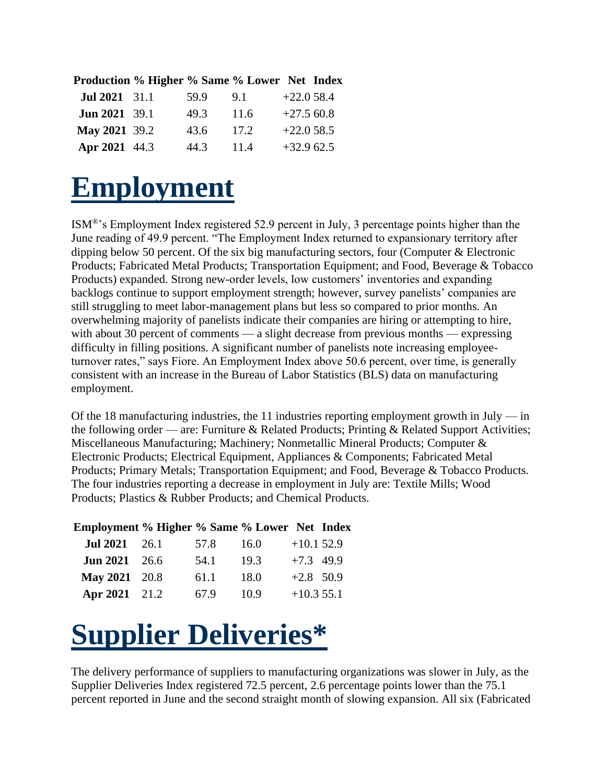| Production % Higher % Same % Lower Net Index |      |      |             |  |
|----------------------------------------------|------|------|-------------|--|
| <b>Jul 2021</b> 31.1                         | 59.9 | 9.1  | $+22.058.4$ |  |
| <b>Jun 2021</b> 39.1                         | 49.3 | 11.6 | $+27.560.8$ |  |
| May 2021 39.2                                | 43.6 | 17.2 | $+22.058.5$ |  |
| Apr 2021 44.3                                | 44.3 | 11.4 | $+32.962.5$ |  |

# **Employment**

ISM®'s Employment Index registered 52.9 percent in July, 3 percentage points higher than the June reading of 49.9 percent. "The Employment Index returned to expansionary territory after dipping below 50 percent. Of the six big manufacturing sectors, four (Computer & Electronic Products; Fabricated Metal Products; Transportation Equipment; and Food, Beverage & Tobacco Products) expanded. Strong new-order levels, low customers' inventories and expanding backlogs continue to support employment strength; however, survey panelists' companies are still struggling to meet labor-management plans but less so compared to prior months. An overwhelming majority of panelists indicate their companies are hiring or attempting to hire, with about 30 percent of comments — a slight decrease from previous months — expressing difficulty in filling positions. A significant number of panelists note increasing employeeturnover rates," says Fiore. An Employment Index above 50.6 percent, over time, is generally consistent with an increase in the Bureau of Labor Statistics (BLS) data on manufacturing employment.

Of the 18 manufacturing industries, the 11 industries reporting employment growth in July  $-$  in the following order — are: Furniture & Related Products; Printing & Related Support Activities; Miscellaneous Manufacturing; Machinery; Nonmetallic Mineral Products; Computer & Electronic Products; Electrical Equipment, Appliances & Components; Fabricated Metal Products; Primary Metals; Transportation Equipment; and Food, Beverage & Tobacco Products. The four industries reporting a decrease in employment in July are: Textile Mills; Wood Products; Plastics & Rubber Products; and Chemical Products.

| <b>Employment % Higher % Same % Lower Net Index</b> |      |      |             |  |
|-----------------------------------------------------|------|------|-------------|--|
| <b>Jul 2021</b> 26.1                                | 57.8 | 16.0 | $+10.152.9$ |  |
| <b>Jun 2021</b> 26.6                                | 54.1 | 19.3 | $+7.3$ 49.9 |  |
| May 2021 20.8                                       | 61.1 | 18.0 | $+2.8$ 50.9 |  |
| Apr 2021 21.2                                       | 67.9 | 10.9 | $+10.355.1$ |  |

# **Supplier Deliveries\***

The delivery performance of suppliers to manufacturing organizations was slower in July, as the Supplier Deliveries Index registered 72.5 percent, 2.6 percentage points lower than the 75.1 percent reported in June and the second straight month of slowing expansion. All six (Fabricated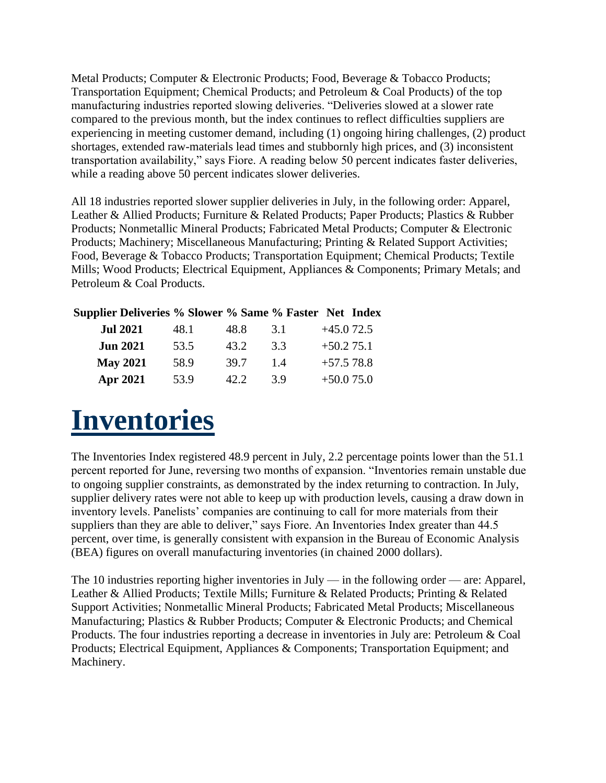Metal Products; Computer & Electronic Products; Food, Beverage & Tobacco Products; Transportation Equipment; Chemical Products; and Petroleum & Coal Products) of the top manufacturing industries reported slowing deliveries. "Deliveries slowed at a slower rate compared to the previous month, but the index continues to reflect difficulties suppliers are experiencing in meeting customer demand, including (1) ongoing hiring challenges, (2) product shortages, extended raw-materials lead times and stubbornly high prices, and (3) inconsistent transportation availability," says Fiore. A reading below 50 percent indicates faster deliveries, while a reading above 50 percent indicates slower deliveries.

All 18 industries reported slower supplier deliveries in July, in the following order: Apparel, Leather & Allied Products; Furniture & Related Products; Paper Products; Plastics & Rubber Products; Nonmetallic Mineral Products; Fabricated Metal Products; Computer & Electronic Products; Machinery; Miscellaneous Manufacturing; Printing & Related Support Activities; Food, Beverage & Tobacco Products; Transportation Equipment; Chemical Products; Textile Mills; Wood Products; Electrical Equipment, Appliances & Components; Primary Metals; and Petroleum & Coal Products.

### **Supplier Deliveries % Slower % Same % Faster Net Index**

| <b>Jul 2021</b> | 48.1 | 48.8 | 3.1 | $+45.0$ 72.5 |
|-----------------|------|------|-----|--------------|
| <b>Jun 2021</b> | 53.5 | 43.2 | 33  | $+50.2$ 75.1 |
| <b>May 2021</b> | 58.9 | 39.7 | 1.4 | $+57.578.8$  |
| Apr 2021        | 53.9 | 42.2 | 3.9 | $+50.075.0$  |

## **Inventories**

The Inventories Index registered 48.9 percent in July, 2.2 percentage points lower than the 51.1 percent reported for June, reversing two months of expansion. "Inventories remain unstable due to ongoing supplier constraints, as demonstrated by the index returning to contraction. In July, supplier delivery rates were not able to keep up with production levels, causing a draw down in inventory levels. Panelists' companies are continuing to call for more materials from their suppliers than they are able to deliver," says Fiore. An Inventories Index greater than 44.5 percent, over time, is generally consistent with expansion in the Bureau of Economic Analysis (BEA) figures on overall manufacturing inventories (in chained 2000 dollars).

The 10 industries reporting higher inventories in July — in the following order — are: Apparel, Leather & Allied Products; Textile Mills; Furniture & Related Products; Printing & Related Support Activities; Nonmetallic Mineral Products; Fabricated Metal Products; Miscellaneous Manufacturing; Plastics & Rubber Products; Computer & Electronic Products; and Chemical Products. The four industries reporting a decrease in inventories in July are: Petroleum & Coal Products; Electrical Equipment, Appliances & Components; Transportation Equipment; and Machinery.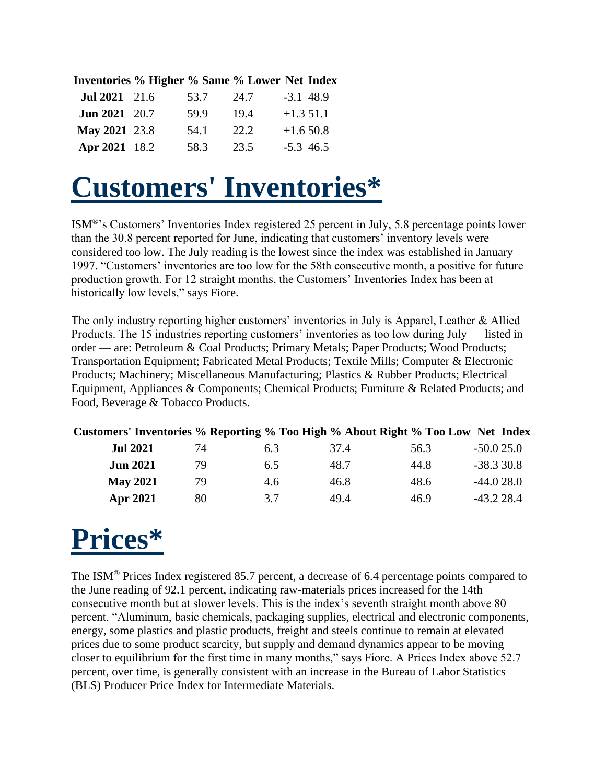| Inventories % Higher % Same % Lower Net Index |      |      |             |  |
|-----------------------------------------------|------|------|-------------|--|
| <b>Jul 2021</b> 21.6                          | 53.7 | 24.7 | $-3.1$ 48.9 |  |
| <b>Jun 2021</b> 20.7                          | 59.9 | 19.4 | $+1.351.1$  |  |
| May 2021 23.8                                 | 54.1 | 22.2 | $+1.650.8$  |  |
| Apr 2021 18.2                                 | 58.3 | 23.5 | $-5.3$ 46.5 |  |

# **Customers' Inventories\***

ISM®'s Customers' Inventories Index registered 25 percent in July, 5.8 percentage points lower than the 30.8 percent reported for June, indicating that customers' inventory levels were considered too low. The July reading is the lowest since the index was established in January 1997. "Customers' inventories are too low for the 58th consecutive month, a positive for future production growth. For 12 straight months, the Customers' Inventories Index has been at historically low levels," says Fiore.

The only industry reporting higher customers' inventories in July is Apparel, Leather & Allied Products. The 15 industries reporting customers' inventories as too low during July — listed in order — are: Petroleum & Coal Products; Primary Metals; Paper Products; Wood Products; Transportation Equipment; Fabricated Metal Products; Textile Mills; Computer & Electronic Products; Machinery; Miscellaneous Manufacturing; Plastics & Rubber Products; Electrical Equipment, Appliances & Components; Chemical Products; Furniture & Related Products; and Food, Beverage & Tobacco Products.

|                 |    |     | Customers' Inventories % Reporting % Too High % About Right % Too Low Net Index |      |             |  |
|-----------------|----|-----|---------------------------------------------------------------------------------|------|-------------|--|
| <b>Jul 2021</b> | 74 | 6.3 | 37.4                                                                            | 56.3 | $-50.025.0$ |  |
| <b>Jun 2021</b> | 79 | 6.5 | 48.7                                                                            | 44.8 | $-38.330.8$ |  |
| <b>May 2021</b> | 79 | 4.6 | 46.8                                                                            | 48.6 | $-44.028.0$ |  |
| Apr 2021        | 80 | 3.7 | 49.4                                                                            | 46.9 | $-43.228.4$ |  |

# **Prices\***

The ISM<sup>®</sup> Prices Index registered 85.7 percent, a decrease of 6.4 percentage points compared to the June reading of 92.1 percent, indicating raw-materials prices increased for the 14th consecutive month but at slower levels. This is the index's seventh straight month above 80 percent. "Aluminum, basic chemicals, packaging supplies, electrical and electronic components, energy, some plastics and plastic products, freight and steels continue to remain at elevated prices due to some product scarcity, but supply and demand dynamics appear to be moving closer to equilibrium for the first time in many months," says Fiore. A Prices Index above 52.7 percent, over time, is generally consistent with an increase in the Bureau of Labor Statistics (BLS) Producer Price Index for Intermediate Materials.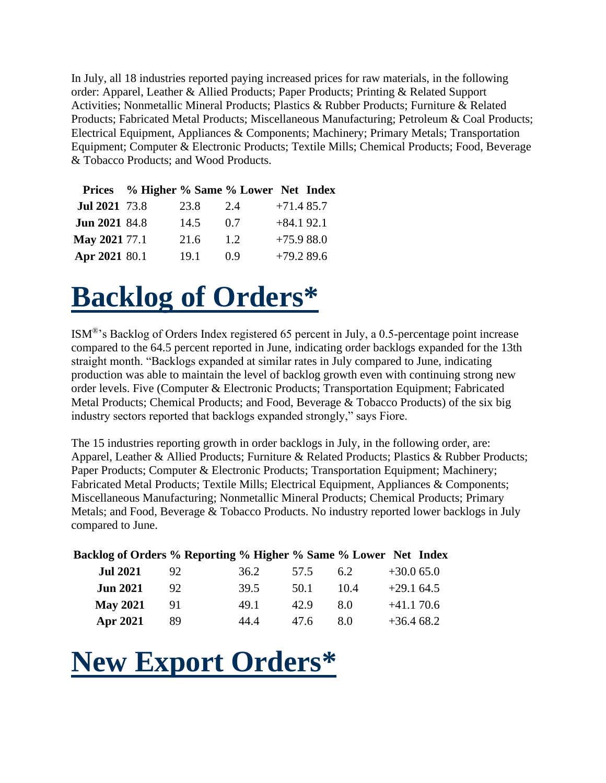In July, all 18 industries reported paying increased prices for raw materials, in the following order: Apparel, Leather & Allied Products; Paper Products; Printing & Related Support Activities; Nonmetallic Mineral Products; Plastics & Rubber Products; Furniture & Related Products; Fabricated Metal Products; Miscellaneous Manufacturing; Petroleum & Coal Products; Electrical Equipment, Appliances & Components; Machinery; Primary Metals; Transportation Equipment; Computer & Electronic Products; Textile Mills; Chemical Products; Food, Beverage & Tobacco Products; and Wood Products.

|                      | Prices % Higher % Same % Lower Net Index |      |      |             |  |
|----------------------|------------------------------------------|------|------|-------------|--|
| <b>Jul 2021</b> 73.8 |                                          | 23.8 | 2.4  | $+71.485.7$ |  |
| <b>Jun 2021 84.8</b> |                                          | 14.5 | 0.7  | $+84.192.1$ |  |
| May 2021 77.1        |                                          | 21.6 | 1.2. | $+75.988.0$ |  |
| Apr 2021 80.1        |                                          | 19.1 | 09   | $+79.289.6$ |  |

# **Backlog of Orders\***

ISM®'s Backlog of Orders Index registered 65 percent in July, a 0.5-percentage point increase compared to the 64.5 percent reported in June, indicating order backlogs expanded for the 13th straight month. "Backlogs expanded at similar rates in July compared to June, indicating production was able to maintain the level of backlog growth even with continuing strong new order levels. Five (Computer & Electronic Products; Transportation Equipment; Fabricated Metal Products; Chemical Products; and Food, Beverage & Tobacco Products) of the six big industry sectors reported that backlogs expanded strongly," says Fiore.

The 15 industries reporting growth in order backlogs in July, in the following order, are: Apparel, Leather & Allied Products; Furniture & Related Products; Plastics & Rubber Products; Paper Products; Computer & Electronic Products; Transportation Equipment; Machinery; Fabricated Metal Products; Textile Mills; Electrical Equipment, Appliances & Components; Miscellaneous Manufacturing; Nonmetallic Mineral Products; Chemical Products; Primary Metals; and Food, Beverage & Tobacco Products. No industry reported lower backlogs in July compared to June.

| Backlog of Orders % Reporting % Higher % Same % Lower Net Index |     |      |      |      |              |  |
|-----------------------------------------------------------------|-----|------|------|------|--------------|--|
| <b>Jul 2021</b>                                                 | 92  | 36.2 | 57.5 | 6.2  | $+30.065.0$  |  |
| <b>Jun 2021</b>                                                 | 92. | 39.5 | 50.1 | 10.4 | $+29.164.5$  |  |
| <b>May 2021</b>                                                 | 91  | 49.1 | 42.9 | 8.0  | $+41.1$ 70.6 |  |
| Apr 2021                                                        | 89  | 44.4 | 47.6 | 80   | $+36.468.2$  |  |
|                                                                 |     |      |      |      |              |  |

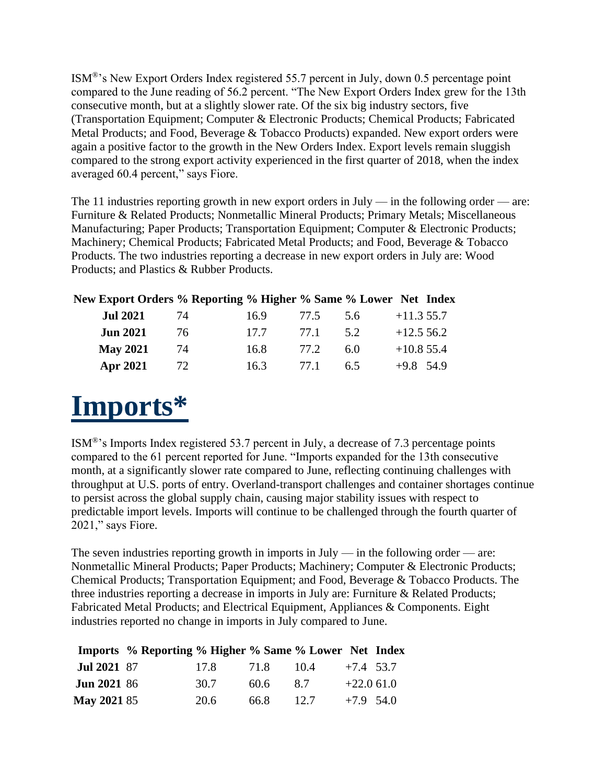ISM®'s New Export Orders Index registered 55.7 percent in July, down 0.5 percentage point compared to the June reading of 56.2 percent. "The New Export Orders Index grew for the 13th consecutive month, but at a slightly slower rate. Of the six big industry sectors, five (Transportation Equipment; Computer & Electronic Products; Chemical Products; Fabricated Metal Products; and Food, Beverage & Tobacco Products) expanded. New export orders were again a positive factor to the growth in the New Orders Index. Export levels remain sluggish compared to the strong export activity experienced in the first quarter of 2018, when the index averaged 60.4 percent," says Fiore.

The 11 industries reporting growth in new export orders in July — in the following order — are: Furniture & Related Products; Nonmetallic Mineral Products; Primary Metals; Miscellaneous Manufacturing; Paper Products; Transportation Equipment; Computer & Electronic Products; Machinery; Chemical Products; Fabricated Metal Products; and Food, Beverage & Tobacco Products. The two industries reporting a decrease in new export orders in July are: Wood Products; and Plastics & Rubber Products.

### **New Export Orders % Reporting % Higher % Same % Lower Net Index**

| <b>Jul 2021</b> | 74  | 16.9 | 77.5   | 5.6 | $+11.355.7$ |
|-----------------|-----|------|--------|-----|-------------|
| <b>Jun 2021</b> | 76. | 17.7 | - 77.1 | 5.2 | $+12.556.2$ |
| <b>May 2021</b> | 74  | 16.8 | 77.2   | 6.0 | $+10.855.4$ |
| <b>Apr 2021</b> |     | 16.3 | -77.1  | 6.5 | $+9.8$ 54.9 |

# **Imports\***

ISM®'s Imports Index registered 53.7 percent in July, a decrease of 7.3 percentage points compared to the 61 percent reported for June. "Imports expanded for the 13th consecutive month, at a significantly slower rate compared to June, reflecting continuing challenges with throughput at U.S. ports of entry. Overland-transport challenges and container shortages continue to persist across the global supply chain, causing major stability issues with respect to predictable import levels. Imports will continue to be challenged through the fourth quarter of 2021," says Fiore.

The seven industries reporting growth in imports in July  $-$  in the following order  $-$  are: Nonmetallic Mineral Products; Paper Products; Machinery; Computer & Electronic Products; Chemical Products; Transportation Equipment; and Food, Beverage & Tobacco Products. The three industries reporting a decrease in imports in July are: Furniture & Related Products; Fabricated Metal Products; and Electrical Equipment, Appliances & Components. Eight industries reported no change in imports in July compared to June.

|                    | Imports % Reporting % Higher % Same % Lower Net Index |      |      |      |             |  |
|--------------------|-------------------------------------------------------|------|------|------|-------------|--|
| <b>Jul 2021 87</b> |                                                       | 17.8 | 71.8 | 10.4 | $+7.4$ 53.7 |  |
| <b>Jun 2021 86</b> |                                                       | 30.7 | 60.6 | 8.7  | $+22.061.0$ |  |
| <b>May 2021 85</b> |                                                       | 20.6 | 66.8 | 12.7 | $+7.9$ 54.0 |  |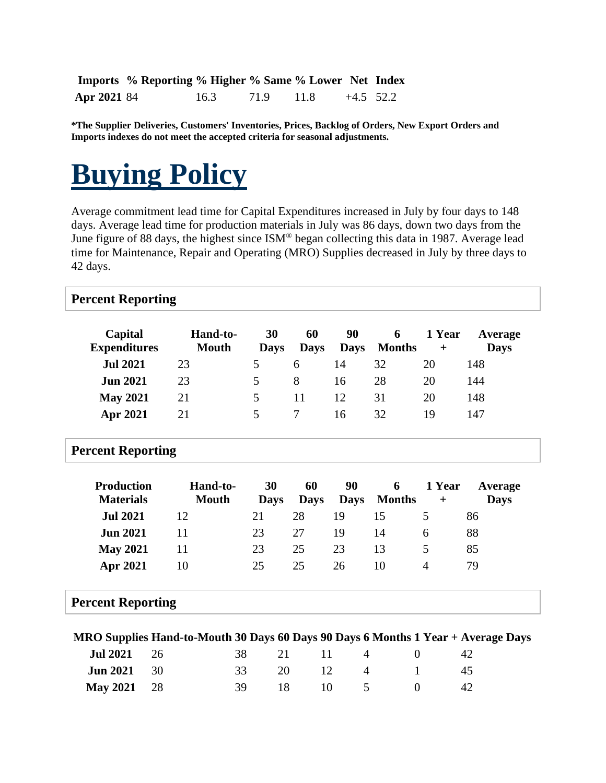|             | Imports % Reporting % Higher % Same % Lower Net Index |      |      |       |             |
|-------------|-------------------------------------------------------|------|------|-------|-------------|
| Apr 2021 84 |                                                       | 16.3 | 71.9 | -11.8 | $+4.5$ 52.2 |

**\*The Supplier Deliveries, Customers' Inventories, Prices, Backlog of Orders, New Export Orders and Imports indexes do not meet the accepted criteria for seasonal adjustments.**

# **Buying Policy**

Average commitment lead time for Capital Expenditures increased in July by four days to 148 days. Average lead time for production materials in July was 86 days, down two days from the June figure of 88 days, the highest since ISM® began collecting this data in 1987. Average lead time for Maintenance, Repair and Operating (MRO) Supplies decreased in July by three days to 42 days.

### **Percent Reporting**

| Capital<br><b>Expenditures</b> | Hand-to-<br><b>Mouth</b> | 30<br><b>Days</b> | 60<br><b>Days</b> | 90<br><b>Days</b> | 6<br><b>Months</b> | 1 Year<br>$^{+}$ | Average<br><b>Days</b> |
|--------------------------------|--------------------------|-------------------|-------------------|-------------------|--------------------|------------------|------------------------|
| <b>Jul 2021</b>                | 23                       |                   | 6                 | 14                | 32                 | 20               | 148                    |
| <b>Jun 2021</b>                | 23                       |                   | 8                 | 16                | 28                 | 20               | 144                    |
| <b>May 2021</b>                | 21                       |                   | 11                | 12                | 31                 | 20               | 148                    |
| Apr 2021                       |                          |                   |                   | 16                | 32                 | 19               | 147                    |

### **Percent Reporting**

| <b>Production</b><br><b>Materials</b> | Hand-to-<br><b>Mouth</b> | 30<br><b>Days</b> | 60<br><b>Days</b> | 90 | $\mathbf b$<br>Days Months | 1 Year<br>$^{+}$ | Average<br><b>Days</b> |
|---------------------------------------|--------------------------|-------------------|-------------------|----|----------------------------|------------------|------------------------|
| <b>Jul 2021</b>                       | 12                       | 21                | 28                | 19 |                            |                  | 86                     |
| <b>Jun 2021</b>                       |                          | 23                | 27                | 19 | 14                         |                  | 88                     |
| <b>May 2021</b>                       |                          | 23                | 25                | 23 | 13                         |                  | 85                     |
| Apr 2021                              | 10                       | 25                | 25                | 26 | 10                         | 4                | 79                     |

### **Percent Reporting**

|  | MRO Supplies Hand-to-Mouth 30 Days 60 Days 90 Days 6 Months 1 Year + Average Days |  |  |  |
|--|-----------------------------------------------------------------------------------|--|--|--|
|--|-----------------------------------------------------------------------------------|--|--|--|

| <b>Jul 2021</b> 26 |    | 21 | $-11$           | $\sim$ 4 | $\bigcap$ | 42. |
|--------------------|----|----|-----------------|----------|-----------|-----|
| <b>Jun 2021</b> 30 | 33 |    | 20 12           |          | 4 1 45    |     |
| <b>May 2021</b> 28 |    | 18 | 10 <sup>1</sup> |          | $\sim$ 0  | 42  |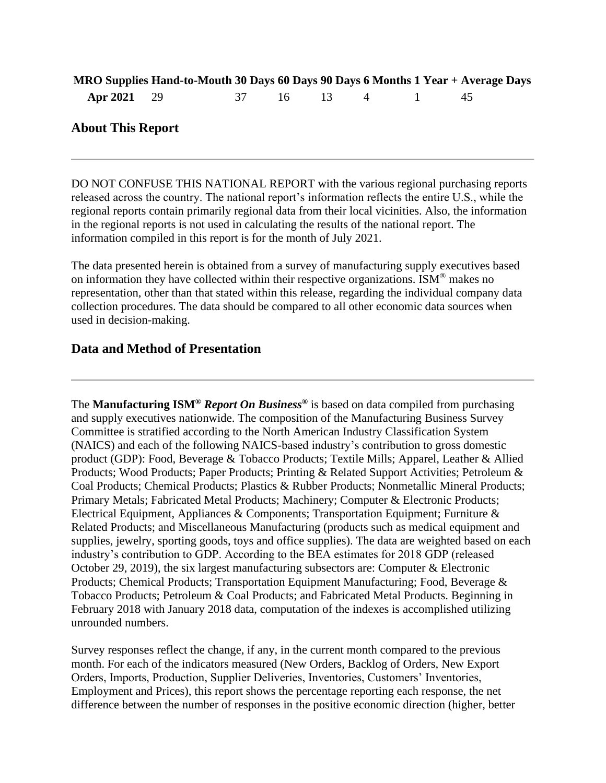|               | MRO Supplies Hand-to-Mouth 30 Days 60 Days 90 Days 6 Months 1 Year + Average Days |          |  |                |                             |  |
|---------------|-----------------------------------------------------------------------------------|----------|--|----------------|-----------------------------|--|
| Apr $2021$ 29 |                                                                                   | 37 16 13 |  | $\overline{4}$ | $\frac{1}{1}$ $\frac{1}{1}$ |  |

### **About This Report**

DO NOT CONFUSE THIS NATIONAL REPORT with the various regional purchasing reports released across the country. The national report's information reflects the entire U.S., while the regional reports contain primarily regional data from their local vicinities. Also, the information in the regional reports is not used in calculating the results of the national report. The information compiled in this report is for the month of July 2021.

The data presented herein is obtained from a survey of manufacturing supply executives based on information they have collected within their respective organizations.  $ISM^{\circ}$  makes no representation, other than that stated within this release, regarding the individual company data collection procedures. The data should be compared to all other economic data sources when used in decision-making.

#### **Data and Method of Presentation**

The **Manufacturing ISM®** *Report On Business***®** is based on data compiled from purchasing and supply executives nationwide. The composition of the Manufacturing Business Survey Committee is stratified according to the North American Industry Classification System (NAICS) and each of the following NAICS-based industry's contribution to gross domestic product (GDP): Food, Beverage & Tobacco Products; Textile Mills; Apparel, Leather & Allied Products; Wood Products; Paper Products; Printing & Related Support Activities; Petroleum & Coal Products; Chemical Products; Plastics & Rubber Products; Nonmetallic Mineral Products; Primary Metals; Fabricated Metal Products; Machinery; Computer & Electronic Products; Electrical Equipment, Appliances & Components; Transportation Equipment; Furniture & Related Products; and Miscellaneous Manufacturing (products such as medical equipment and supplies, jewelry, sporting goods, toys and office supplies). The data are weighted based on each industry's contribution to GDP. According to the BEA estimates for 2018 GDP (released October 29, 2019), the six largest manufacturing subsectors are: Computer & Electronic Products; Chemical Products; Transportation Equipment Manufacturing; Food, Beverage & Tobacco Products; Petroleum & Coal Products; and Fabricated Metal Products. Beginning in February 2018 with January 2018 data, computation of the indexes is accomplished utilizing unrounded numbers.

Survey responses reflect the change, if any, in the current month compared to the previous month. For each of the indicators measured (New Orders, Backlog of Orders, New Export Orders, Imports, Production, Supplier Deliveries, Inventories, Customers' Inventories, Employment and Prices), this report shows the percentage reporting each response, the net difference between the number of responses in the positive economic direction (higher, better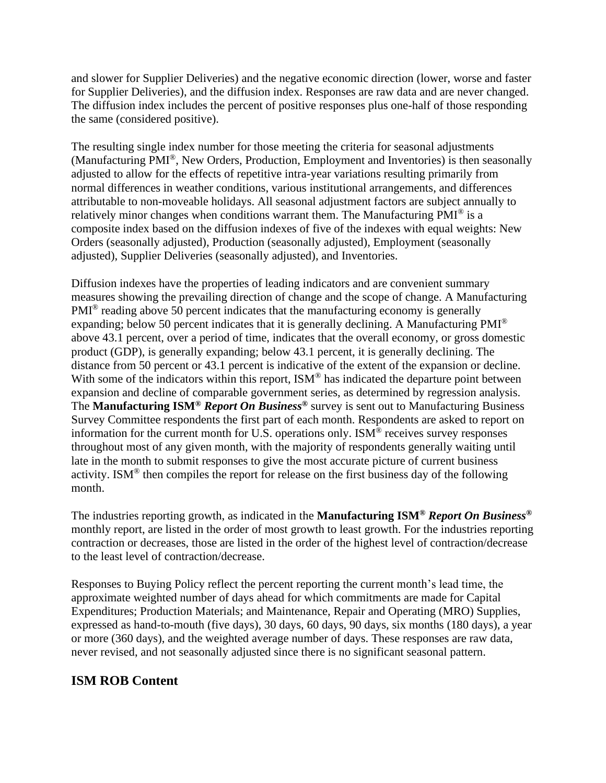and slower for Supplier Deliveries) and the negative economic direction (lower, worse and faster for Supplier Deliveries), and the diffusion index. Responses are raw data and are never changed. The diffusion index includes the percent of positive responses plus one-half of those responding the same (considered positive).

The resulting single index number for those meeting the criteria for seasonal adjustments (Manufacturing PMI®, New Orders, Production, Employment and Inventories) is then seasonally adjusted to allow for the effects of repetitive intra-year variations resulting primarily from normal differences in weather conditions, various institutional arrangements, and differences attributable to non-moveable holidays. All seasonal adjustment factors are subject annually to relatively minor changes when conditions warrant them. The Manufacturing PMI® is a composite index based on the diffusion indexes of five of the indexes with equal weights: New Orders (seasonally adjusted), Production (seasonally adjusted), Employment (seasonally adjusted), Supplier Deliveries (seasonally adjusted), and Inventories.

Diffusion indexes have the properties of leading indicators and are convenient summary measures showing the prevailing direction of change and the scope of change. A Manufacturing PMI® reading above 50 percent indicates that the manufacturing economy is generally expanding; below 50 percent indicates that it is generally declining. A Manufacturing PMI® above 43.1 percent, over a period of time, indicates that the overall economy, or gross domestic product (GDP), is generally expanding; below 43.1 percent, it is generally declining. The distance from 50 percent or 43.1 percent is indicative of the extent of the expansion or decline. With some of the indicators within this report, ISM<sup>®</sup> has indicated the departure point between expansion and decline of comparable government series, as determined by regression analysis. The **Manufacturing ISM®** *Report On Business***®** survey is sent out to Manufacturing Business Survey Committee respondents the first part of each month. Respondents are asked to report on information for the current month for U.S. operations only. ISM® receives survey responses throughout most of any given month, with the majority of respondents generally waiting until late in the month to submit responses to give the most accurate picture of current business activity. ISM<sup>®</sup> then compiles the report for release on the first business day of the following month.

The industries reporting growth, as indicated in the **Manufacturing ISM®** *Report On Business***®** monthly report, are listed in the order of most growth to least growth. For the industries reporting contraction or decreases, those are listed in the order of the highest level of contraction/decrease to the least level of contraction/decrease.

Responses to Buying Policy reflect the percent reporting the current month's lead time, the approximate weighted number of days ahead for which commitments are made for Capital Expenditures; Production Materials; and Maintenance, Repair and Operating (MRO) Supplies, expressed as hand-to-mouth (five days), 30 days, 60 days, 90 days, six months (180 days), a year or more (360 days), and the weighted average number of days. These responses are raw data, never revised, and not seasonally adjusted since there is no significant seasonal pattern.

### **ISM ROB Content**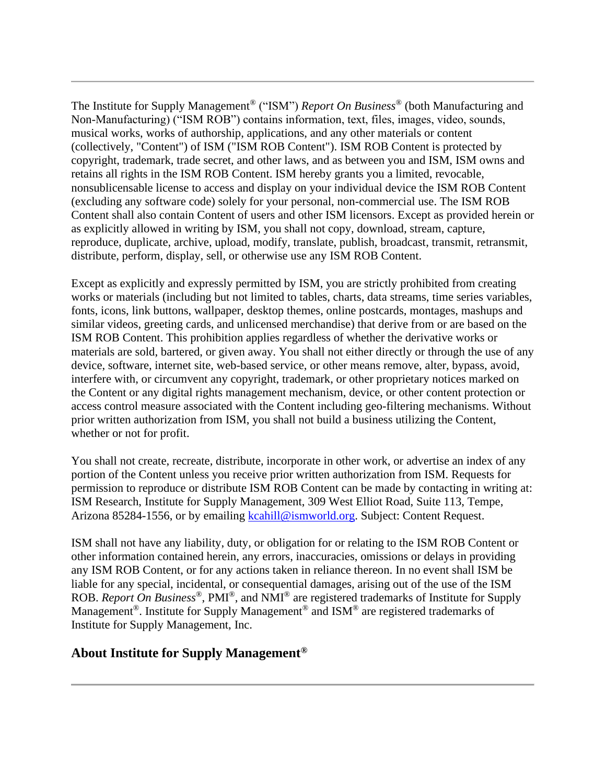The Institute for Supply Management® ("ISM") *Report On Business*® (both Manufacturing and Non-Manufacturing) ("ISM ROB") contains information, text, files, images, video, sounds, musical works, works of authorship, applications, and any other materials or content (collectively, "Content") of ISM ("ISM ROB Content"). ISM ROB Content is protected by copyright, trademark, trade secret, and other laws, and as between you and ISM, ISM owns and retains all rights in the ISM ROB Content. ISM hereby grants you a limited, revocable, nonsublicensable license to access and display on your individual device the ISM ROB Content (excluding any software code) solely for your personal, non-commercial use. The ISM ROB Content shall also contain Content of users and other ISM licensors. Except as provided herein or as explicitly allowed in writing by ISM, you shall not copy, download, stream, capture, reproduce, duplicate, archive, upload, modify, translate, publish, broadcast, transmit, retransmit, distribute, perform, display, sell, or otherwise use any ISM ROB Content.

Except as explicitly and expressly permitted by ISM, you are strictly prohibited from creating works or materials (including but not limited to tables, charts, data streams, time series variables, fonts, icons, link buttons, wallpaper, desktop themes, online postcards, montages, mashups and similar videos, greeting cards, and unlicensed merchandise) that derive from or are based on the ISM ROB Content. This prohibition applies regardless of whether the derivative works or materials are sold, bartered, or given away. You shall not either directly or through the use of any device, software, internet site, web-based service, or other means remove, alter, bypass, avoid, interfere with, or circumvent any copyright, trademark, or other proprietary notices marked on the Content or any digital rights management mechanism, device, or other content protection or access control measure associated with the Content including geo-filtering mechanisms. Without prior written authorization from ISM, you shall not build a business utilizing the Content, whether or not for profit.

You shall not create, recreate, distribute, incorporate in other work, or advertise an index of any portion of the Content unless you receive prior written authorization from ISM. Requests for permission to reproduce or distribute ISM ROB Content can be made by contacting in writing at: ISM Research, Institute for Supply Management, 309 West Elliot Road, Suite 113, Tempe, Arizona 85284-1556, or by emailing [kcahill@ismworld.org.](mailto:kcahill@ismworld.org?subject=Content%20Request) Subject: Content Request.

ISM shall not have any liability, duty, or obligation for or relating to the ISM ROB Content or other information contained herein, any errors, inaccuracies, omissions or delays in providing any ISM ROB Content, or for any actions taken in reliance thereon. In no event shall ISM be liable for any special, incidental, or consequential damages, arising out of the use of the ISM ROB. *Report On Business*®, PMI®, and NMI® are registered trademarks of Institute for Supply Management<sup>®</sup>. Institute for Supply Management<sup>®</sup> and ISM<sup>®</sup> are registered trademarks of Institute for Supply Management, Inc.

### **About Institute for Supply Management®**